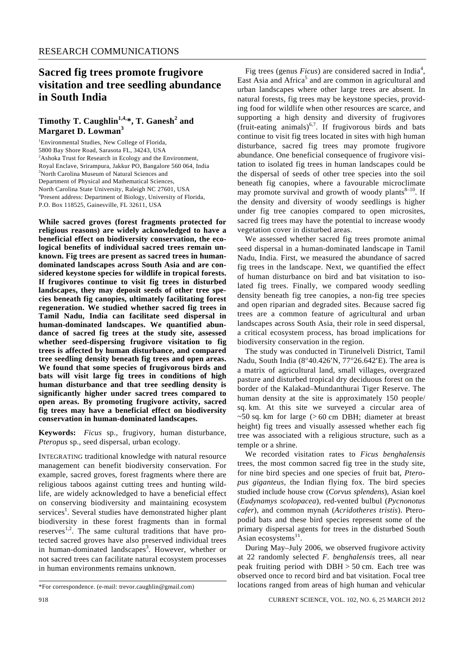## **Sacred fig trees promote frugivore visitation and tree seedling abundance in South India**

## Timothy T. Caughlin<sup>1,4,\*</sup>, T. Ganesh<sup>2</sup> and **Margaret D. Lowman<sup>3</sup>**

1 Environmental Studies, New College of Florida, 5800 Bay Shore Road, Sarasota FL, 34243, USA <sup>2</sup>Ashoka Trust for Research in Ecology and the Environment, Royal Enclave, Srirampura, Jakkur PO, Bangalore 560 064, India 3 North Carolina Museum of Natural Sciences and Department of Physical and Mathematical Sciences, North Carolina State University, Raleigh NC 27601, USA <sup>4</sup>Present address: Department of Biology, University of Florida, P.O. Box 118525, Gainesville, FL 32611, USA

**While sacred groves (forest fragments protected for religious reasons) are widely acknowledged to have a beneficial effect on biodiversity conservation, the ecological benefits of individual sacred trees remain unknown. Fig trees are present as sacred trees in humandominated landscapes across South Asia and are considered keystone species for wildlife in tropical forests. If frugivores continue to visit fig trees in disturbed landscapes, they may deposit seeds of other tree species beneath fig canopies, ultimately facilitating forest regeneration. We studied whether sacred fig trees in Tamil Nadu, India can facilitate seed dispersal in human-dominated landscapes. We quantified abundance of sacred fig trees at the study site, assessed whether seed-dispersing frugivore visitation to fig trees is affected by human disturbance, and compared tree seedling density beneath fig trees and open areas. We found that some species of frugivorous birds and bats will visit large fig trees in conditions of high human disturbance and that tree seedling density is significantly higher under sacred trees compared to open areas. By promoting frugivore activity, sacred fig trees may have a beneficial effect on biodiversity conservation in human-dominated landscapes.** 

**Keywords:** *Ficus* sp., frugivory, human disturbance, *Pteropus* sp., seed dispersal, urban ecology.

INTEGRATING traditional knowledge with natural resource management can benefit biodiversity conservation. For example, sacred groves, forest fragments where there are religious taboos against cutting trees and hunting wildlife, are widely acknowledged to have a beneficial effect on conserving biodiversity and maintaining ecosystem services<sup>1</sup>. Several studies have demonstrated higher plant biodiversity in these forest fragments than in formal reserves<sup>1,2</sup>. The same cultural traditions that have protected sacred groves have also preserved individual trees in human-dominated landscapes<sup>3</sup>. However, whether or not sacred trees can facilitate natural ecosystem processes in human environments remains unknown.

Fig trees (genus *Ficus*) are considered sacred in India<sup>4</sup>, East Asia and Africa<sup>5</sup> and are common in agricultural and urban landscapes where other large trees are absent. In natural forests, fig trees may be keystone species, providing food for wildlife when other resources are scarce, and supporting a high density and diversity of frugivores (fruit-eating animals) $6,7$ . If frugivorous birds and bats continue to visit fig trees located in sites with high human disturbance, sacred fig trees may promote frugivore abundance. One beneficial consequence of frugivore visitation to isolated fig trees in human landscapes could be the dispersal of seeds of other tree species into the soil beneath fig canopies, where a favourable microclimate may promote survival and growth of woody plants $8-10$ . If the density and diversity of woody seedlings is higher under fig tree canopies compared to open microsites, sacred fig trees may have the potential to increase woody vegetation cover in disturbed areas.

 We assessed whether sacred fig trees promote animal seed dispersal in a human-dominated landscape in Tamil Nadu, India. First, we measured the abundance of sacred fig trees in the landscape. Next, we quantified the effect of human disturbance on bird and bat visitation to isolated fig trees. Finally, we compared woody seedling density beneath fig tree canopies, a non-fig tree species and open riparian and degraded sites. Because sacred fig trees are a common feature of agricultural and urban landscapes across South Asia, their role in seed dispersal, a critical ecosystem process, has broad implications for biodiversity conservation in the region.

 The study was conducted in Tirunelveli District, Tamil Nadu, South India (8°40.426′N, 77°26.642′E). The area is a matrix of agricultural land, small villages, overgrazed pasture and disturbed tropical dry deciduous forest on the border of the Kalakad–Mundanthurai Tiger Reserve. The human density at the site is approximately 150 people/ sq. km. At this site we surveyed a circular area of  $\sim$ 50 sq. km for large (>60 cm DBH; diameter at breast height) fig trees and visually assessed whether each fig tree was associated with a religious structure, such as a temple or a shrine.

 We recorded visitation rates to *Ficus benghalensis*  trees*,* the most common sacred fig tree in the study site, for nine bird species and one species of fruit bat, *Pteropus giganteus*, the Indian flying fox. The bird species studied include house crow (*Corvus splendens*), Asian koel (*Eudynamys scolopacea*), red-vented bulbul (*Pycnonotus cafer*), and common mynah (*Acridotheres tristis*). Pteropodid bats and these bird species represent some of the primary dispersal agents for trees in the disturbed South Asian ecosystems $^{11}$ .

 During May–July 2006, we observed frugivore activity at 22 randomly selected *F. benghalensis* trees, all near peak fruiting period with DBH > 50 cm. Each tree was observed once to record bird and bat visitation. Focal tree locations ranged from areas of high human and vehicular

<sup>\*</sup>For correspondence. (e-mail: trevor.caughlin@gmail.com)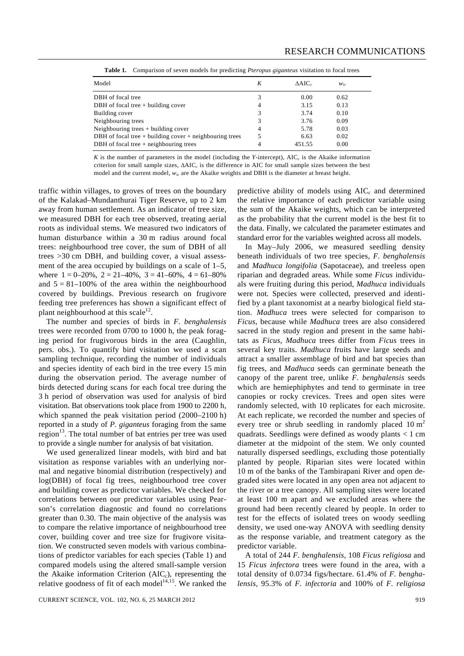| Model                                                       | K | $\triangle AIC_c$ | $W_{ic}$ |  |
|-------------------------------------------------------------|---|-------------------|----------|--|
| DBH of focal tree                                           | 3 | 0.00              | 0.62     |  |
| DBH of focal tree $+$ building cover                        | 4 | 3.15              | 0.13     |  |
| Building cover                                              | 3 | 3.74              | 0.10     |  |
| Neighbouring trees                                          | 3 | 3.76              | 0.09     |  |
| Neighbouring trees $+$ building cover                       | 4 | 5.78              | 0.03     |  |
| DBH of focal tree $+$ building cover $+$ neighbouring trees | 5 | 6.63              | 0.02     |  |
| DBH of focal tree $+$ neighbouring trees                    | 4 | 451.55            | 0.00     |  |

**Table 1.** Comparison of seven models for predicting *Pteropus giganteus* visitation to focal trees

*K* is the number of parameters in the model (including the *Y*-intercept), AIC<sub>c</sub> is the Akaike information criterion for small sample sizes, ΔAIC*c* is the difference in AIC for small sample sizes between the best model and the current model, *wic* are the Akaike weights and DBH is the diameter at breast height.

traffic within villages, to groves of trees on the boundary of the Kalakad–Mundanthurai Tiger Reserve, up to 2 km away from human settlement. As an indicator of tree size, we measured DBH for each tree observed, treating aerial roots as individual stems. We measured two indicators of human disturbance within a 30 m radius around focal trees: neighbourhood tree cover, the sum of DBH of all trees >30 cm DBH, and building cover, a visual assessment of the area occupied by buildings on a scale of 1–5, where  $1 = 0-20\%$ ,  $2 = 21-40\%$ ,  $3 = 41-60\%$ ,  $4 = 61-80\%$ and  $5 = 81 - 100\%$  of the area within the neighbourhood covered by buildings. Previous research on frugivore feeding tree preferences has shown a significant effect of plant neighbourhood at this scale<sup>12</sup>.

 The number and species of birds in *F. benghalensis*  trees were recorded from 0700 to 1000 h, the peak foraging period for frugivorous birds in the area (Caughlin, pers. obs.). To quantify bird visitation we used a scan sampling technique, recording the number of individuals and species identity of each bird in the tree every 15 min during the observation period. The average number of birds detected during scans for each focal tree during the 3 h period of observation was used for analysis of bird visitation. Bat observations took place from 1900 to 2200 h, which spanned the peak visitation period (2000–2100 h) reported in a study of *P. giganteus* foraging from the same region<sup>13</sup>. The total number of bat entries per tree was used to provide a single number for analysis of bat visitation.

 We used generalized linear models, with bird and bat visitation as response variables with an underlying normal and negative binomial distribution (respectively) and log(DBH) of focal fig trees, neighbourhood tree cover and building cover as predictor variables. We checked for correlations between our predictor variables using Pearson's correlation diagnostic and found no correlations greater than 0.30. The main objective of the analysis was to compare the relative importance of neighbourhood tree cover, building cover and tree size for frugivore visitation. We constructed seven models with various combinations of predictor variables for each species (Table 1) and compared models using the altered small-sample version the Akaike information Criterion (AIC*c*), representing the relative goodness of fit of each model<sup>14,15</sup>. We ranked the predictive ability of models using AIC*c* and determined the relative importance of each predictor variable using the sum of the Akaike weights, which can be interpreted as the probability that the current model is the best fit to the data. Finally, we calculated the parameter estimates and standard error for the variables weighted across all models.

 In May–July 2006, we measured seedling density beneath individuals of two tree species, *F. benghalensis*  and *Madhuca longifolia* (Sapotaceae), and treeless open riparian and degraded areas. While some *Ficus* individuals were fruiting during this period, *Madhuca* individuals were not*.* Species were collected, preserved and identified by a plant taxonomist at a nearby biological field station. *Madhuca* trees were selected for comparison to *Ficus*, because while *Madhuca* trees are also considered sacred in the study region and present in the same habitats as *Ficus*, *Madhuca* trees differ from *Ficus* trees in several key traits. *Madhuca* fruits have large seeds and attract a smaller assemblage of bird and bat species than fig trees, and *Madhuca* seeds can germinate beneath the canopy of the parent tree, unlike *F. benghalensis* seeds which are hemiephiphytes and tend to germinate in tree canopies or rocky crevices. Trees and open sites were randomly selected, with 10 replicates for each microsite. At each replicate, we recorded the number and species of every tree or shrub seedling in randomly placed  $10 \text{ m}^2$ quadrats. Seedlings were defined as woody plants < 1 cm diameter at the midpoint of the stem. We only counted naturally dispersed seedlings, excluding those potentially planted by people. Riparian sites were located within 10 m of the banks of the Tambirapani River and open degraded sites were located in any open area not adjacent to the river or a tree canopy. All sampling sites were located at least 100 m apart and we excluded areas where the ground had been recently cleared by people. In order to test for the effects of isolated trees on woody seedling density, we used one-way ANOVA with seedling density as the response variable, and treatment category as the predictor variable.

 A total of 244 *F. benghalensis*, 108 *Ficus religiosa* and 15 *Ficus infectora* trees were found in the area, with a total density of 0.0734 figs/hectare. 61.4% of *F. benghalensis,* 95.3% of *F. infectoria* and 100% of *F. religiosa*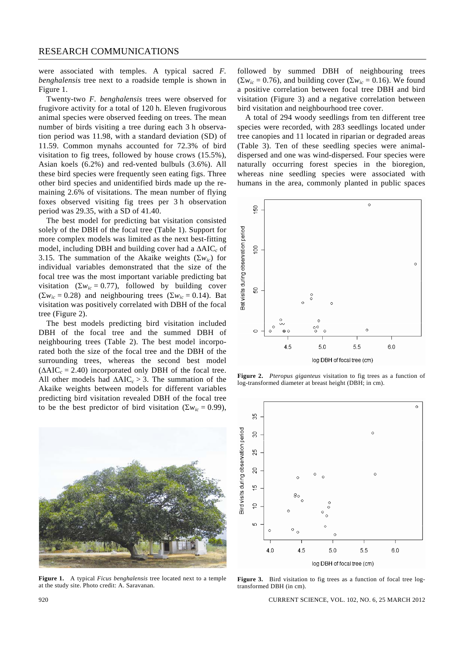## RESEARCH COMMUNICATIONS

were associated with temples. A typical sacred *F. benghalensis* tree next to a roadside temple is shown in Figure 1.

 Twenty-two *F. benghalensis* trees were observed for frugivore activity for a total of 120 h. Eleven frugivorous animal species were observed feeding on trees. The mean number of birds visiting a tree during each 3 h observation period was 11.98, with a standard deviation (SD) of 11.59. Common mynahs accounted for 72.3% of bird visitation to fig trees, followed by house crows (15.5%), Asian koels (6.2%) and red-vented bulbuls (3.6%). All these bird species were frequently seen eating figs. Three other bird species and unidentified birds made up the remaining 2.6% of visitations. The mean number of flying foxes observed visiting fig trees per 3 h observation period was 29.35, with a SD of 41.40.

 The best model for predicting bat visitation consisted solely of the DBH of the focal tree (Table 1). Support for more complex models was limited as the next best-fitting model, including DBH and building cover had a ΔAIC<sub>c</sub> of 3.15. The summation of the Akaike weights ( $\Sigma w_{ic}$ ) for individual variables demonstrated that the size of the focal tree was the most important variable predicting bat visitation ( $\Sigma w_{ic} = 0.77$ ), followed by building cover  $(\Sigma w_{ic} = 0.28)$  and neighbouring trees  $(\Sigma w_{ic} = 0.14)$ . Bat visitation was positively correlated with DBH of the focal tree (Figure 2).

 The best models predicting bird visitation included DBH of the focal tree and the summed DBH of neighbouring trees (Table 2). The best model incorporated both the size of the focal tree and the DBH of the surrounding trees, whereas the second best model  $(\Delta AIC_c = 2.40)$  incorporated only DBH of the focal tree. All other models had  $\triangle AIC_c > 3$ . The summation of the Akaike weights between models for different variables predicting bird visitation revealed DBH of the focal tree to be the best predictor of bird visitation ( $\Sigma w_{ic} = 0.99$ ),



**Figure 1.** A typical *Ficus benghalensis* tree located next to a temple at the study site. Photo credit: A. Saravanan.

followed by summed DBH of neighbouring trees  $(\Sigma w_{ic} = 0.76)$ , and building cover  $(\Sigma w_{ic} = 0.16)$ . We found a positive correlation between focal tree DBH and bird visitation (Figure 3) and a negative correlation between bird visitation and neighbourhood tree cover.

 A total of 294 woody seedlings from ten different tree species were recorded, with 283 seedlings located under tree canopies and 11 located in riparian or degraded areas (Table 3). Ten of these seedling species were animaldispersed and one was wind-dispersed. Four species were naturally occurring forest species in the bioregion, whereas nine seedling species were associated with humans in the area, commonly planted in public spaces



**Figure 2.** *Pteropus giganteus* visitation to fig trees as a function of log-transformed diameter at breast height (DBH; in cm).



Figure 3. Bird visitation to fig trees as a function of focal tree logtransformed DBH (in cm).

920 CURRENT SCIENCE, VOL. 102, NO. 6, 25 MARCH 2012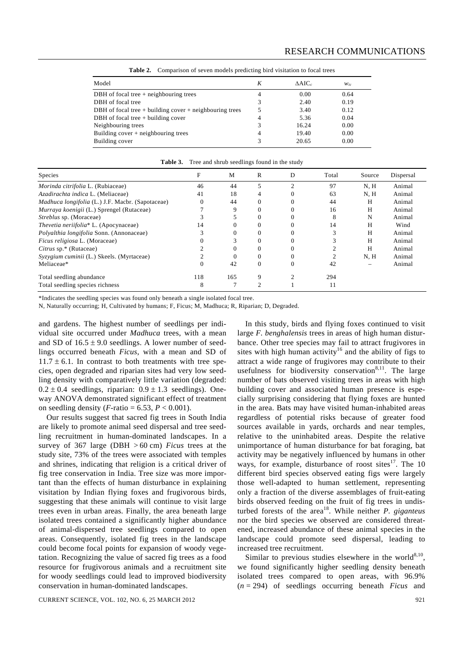| Model                                                       | K | $\triangle AIC_{c}$ | $W_{ic}$ |
|-------------------------------------------------------------|---|---------------------|----------|
| DBH of focal tree $+$ neighbouring trees                    | 4 | 0.00                | 0.64     |
| DBH of focal tree                                           | 3 | 2.40                | 0.19     |
| DBH of focal tree $+$ building cover $+$ neighbouring trees |   | 3.40                | 0.12     |
| DBH of focal tree $+$ building cover                        | 4 | 5.36                | 0.04     |
| Neighbouring trees                                          | 3 | 16.24               | 0.00     |
| Building cover $+$ neighbouring trees                       | 4 | 19.40               | 0.00     |
| Building cover                                              | 3 | 20.65               | 0.00     |

**Table 2.** Comparison of seven models predicting bird visitation to focal trees

| <b>Species</b>                                   | F   | M   | R        | D              | Total | Source | Dispersal |
|--------------------------------------------------|-----|-----|----------|----------------|-------|--------|-----------|
| <i>Morinda citrifolia</i> L. (Rubiaceae)         | 46  | 44  | 5        | $\overline{c}$ | 97    | N, H   | Animal    |
| Azadirachta indica L. (Meliaceae)                | 41  | 18  | 4        |                | 63    | N, H   | Animal    |
| Madhuca longifolia (L.) J.F. Macbr. (Sapotaceae) |     | 44  | $\Omega$ |                | 44    | H      | Animal    |
| Murraya koenigii (L.) Sprengel (Rutaceae)        |     | 9   | $\Omega$ |                | 16    | Η      | Animal    |
| Streblus sp. (Moraceae)                          |     |     | $\Omega$ |                | 8     | N      | Animal    |
| Thevetia neriifolia* L. (Apocynaceae)            | 14  |     | $\Omega$ |                | 14    | Η      | Wind      |
| Polyalthia longifolia Sonn. (Annonaceae)         |     |     | $\Omega$ |                | 3     | Η      | Animal    |
| Ficus religiosa L. (Moraceae)                    |     |     | $\Omega$ |                |       | H      | Animal    |
| Citrus sp.* (Rutaceae)                           |     |     | $\Omega$ |                |       | Η      | Animal    |
| Syzygium cuminii (L.) Skeels. (Myrtaceae)        |     |     | $\Omega$ | 0              |       | N, H   | Animal    |
| Meliaceae*                                       |     | 42  | $\Omega$ |                | 42    |        | Animal    |
| Total seedling abundance                         | 118 | 165 | 9        |                | 294   |        |           |
| Total seedling species richness                  | 8   |     | ◠        |                | 11    |        |           |

Table 3. Tree and shrub seedlings found in the study

\*Indicates the seedling species was found only beneath a single isolated focal tree.

N, Naturally occurring; H, Cultivated by humans; F, Ficus; M, Madhuca; R, Riparian; D, Degraded.

and gardens. The highest number of seedlings per individual site occurred under *Madhuca* trees, with a mean and SD of  $16.5 \pm 9.0$  seedlings. A lower number of seedlings occurred beneath *Ficus*, with a mean and SD of  $11.7 \pm 6.1$ . In contrast to both treatments with tree species, open degraded and riparian sites had very low seedling density with comparatively little variation (degraded:  $0.2 \pm 0.4$  seedlings, riparian:  $0.9 \pm 1.3$  seedlings). Oneway ANOVA demonstrated significant effect of treatment on seedling density (*F*-ratio = 6.53,  $P < 0.001$ ).

 Our results suggest that sacred fig trees in South India are likely to promote animal seed dispersal and tree seedling recruitment in human-dominated landscapes. In a survey of 367 large (DBH > 60 cm) *Ficus* trees at the study site, 73% of the trees were associated with temples and shrines, indicating that religion is a critical driver of fig tree conservation in India. Tree size was more important than the effects of human disturbance in explaining visitation by Indian flying foxes and frugivorous birds, suggesting that these animals will continue to visit large trees even in urban areas. Finally, the area beneath large isolated trees contained a significantly higher abundance of animal-dispersed tree seedlings compared to open areas. Consequently, isolated fig trees in the landscape could become focal points for expansion of woody vegetation. Recognizing the value of sacred fig trees as a food resource for frugivorous animals and a recruitment site for woody seedlings could lead to improved biodiversity conservation in human-dominated landscapes.

 In this study, birds and flying foxes continued to visit large *F. benghalensis* trees in areas of high human disturbance. Other tree species may fail to attract frugivores in sites with high human activity<sup>16</sup> and the ability of figs to attract a wide range of frugivores may contribute to their usefulness for biodiversity conservation<sup>8,11</sup>. The large number of bats observed visiting trees in areas with high building cover and associated human presence is especially surprising considering that flying foxes are hunted in the area. Bats may have visited human-inhabited areas regardless of potential risks because of greater food sources available in yards, orchards and near temples, relative to the uninhabited areas. Despite the relative unimportance of human disturbance for bat foraging, bat activity may be negatively influenced by humans in other ways, for example, disturbance of roost sites $17$ . The 10 different bird species observed eating figs were largely those well-adapted to human settlement, representing only a fraction of the diverse assemblages of fruit-eating birds observed feeding on the fruit of fig trees in undisturbed forests of the area<sup>18</sup>. While neither *P. giganteus* nor the bird species we observed are considered threatened, increased abundance of these animal species in the landscape could promote seed dispersal, leading to increased tree recruitment.

Similar to previous studies elsewhere in the world $8,10$ , we found significantly higher seedling density beneath isolated trees compared to open areas, with 96.9% (*n* = 294) of seedlings occurring beneath *Ficus* and

CURRENT SCIENCE, VOL. 102, NO. 6, 25 MARCH 2012 921